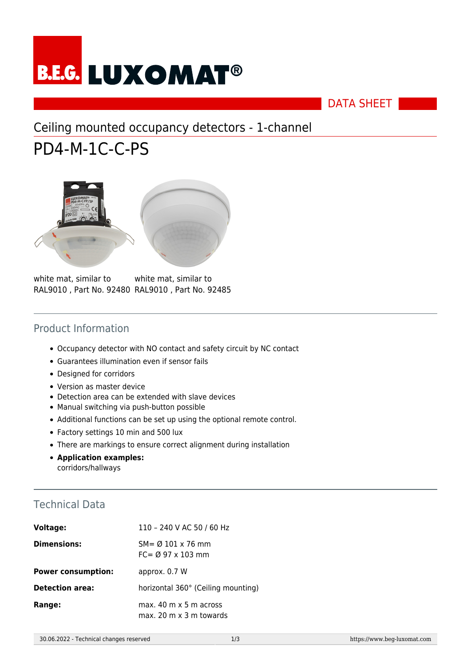# **B.E.G. LUXOMAT<sup>®</sup>**

#### DATA SHEET

## Ceiling mounted occupancy detectors - 1-channel

# PD4-M-1C-C-PS



white mat, similar to RAL9010 , Part No. 92480 RAL9010 , Part No. 92485 white mat, similar to

#### Product Information

- Occupancy detector with NO contact and safety circuit by NC contact
- Guarantees illumination even if sensor fails
- Designed for corridors
- Version as master device
- Detection area can be extended with slave devices
- Manual switching via push-button possible
- Additional functions can be set up using the optional remote control.
- Factory settings 10 min and 500 lux
- There are markings to ensure correct alignment during installation
- **Application examples:** corridors/hallways

#### Technical Data

| <b>Voltage:</b>           | 110 - 240 V AC 50 / 60 Hz                                                       |
|---------------------------|---------------------------------------------------------------------------------|
| <b>Dimensions:</b>        | $SM = \emptyset$ 101 x 76 mm<br>$FC = \emptyset$ 97 x 103 mm                    |
| <b>Power consumption:</b> | approx. 0.7 W                                                                   |
| <b>Detection area:</b>    | horizontal 360° (Ceiling mounting)                                              |
| Range:                    | max. $40 \text{ m} \times 5 \text{ m}$ across<br>$max. 20 m \times 3 m$ towards |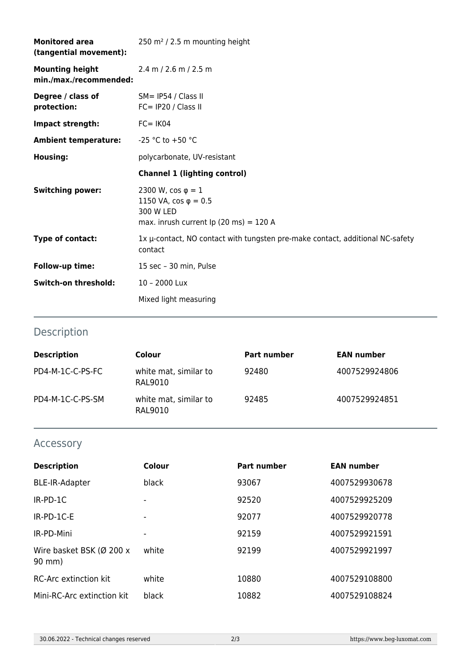| <b>Monitored area</b><br>(tangential movement):  | 250 m <sup>2</sup> / 2.5 m mounting height                                                                                           |
|--------------------------------------------------|--------------------------------------------------------------------------------------------------------------------------------------|
| <b>Mounting height</b><br>min./max./recommended: | 2.4 m / 2.6 m / 2.5 m                                                                                                                |
| Degree / class of<br>protection:                 | SM= IP54 / Class II<br>$FC = IP20 / Class II$                                                                                        |
| Impact strength:                                 | $FC = IK04$                                                                                                                          |
| <b>Ambient temperature:</b>                      | $-25$ °C to +50 °C                                                                                                                   |
| Housing:                                         | polycarbonate, UV-resistant                                                                                                          |
|                                                  | <b>Channel 1 (lighting control)</b>                                                                                                  |
| <b>Switching power:</b>                          | 2300 W, $\cos \varphi = 1$<br>1150 VA, $\cos \varphi = 0.5$<br>300 W LED<br>max. inrush current Ip $(20 \text{ ms}) = 120 \text{ A}$ |
| Type of contact:                                 | 1x µ-contact, NO contact with tungsten pre-make contact, additional NC-safety<br>contact                                             |
| Follow-up time:                                  | 15 sec - 30 min, Pulse                                                                                                               |
| Switch-on threshold:                             | 10 - 2000 Lux                                                                                                                        |
|                                                  | Mixed light measuring                                                                                                                |

### Description

| <b>Description</b> | Colour                           | <b>Part number</b> | <b>EAN number</b> |
|--------------------|----------------------------------|--------------------|-------------------|
| PD4-M-1C-C-PS-FC   | white mat, similar to<br>RAL9010 | 92480              | 4007529924806     |
| PD4-M-1C-C-PS-SM   | white mat, similar to<br>RAL9010 | 92485              | 4007529924851     |

#### Accessory

| <b>Description</b>                 | Colour | Part number | <b>EAN number</b> |
|------------------------------------|--------|-------------|-------------------|
| <b>BLE-IR-Adapter</b>              | black  | 93067       | 4007529930678     |
| $IR-PD-1C$                         |        | 92520       | 4007529925209     |
| $IR-PD-1C-E$                       |        | 92077       | 4007529920778     |
| IR-PD-Mini                         | -      | 92159       | 4007529921591     |
| Wire basket BSK (Ø 200 x<br>90 mm) | white  | 92199       | 4007529921997     |
| <b>RC-Arc extinction kit</b>       | white  | 10880       | 4007529108800     |
| Mini-RC-Arc extinction kit         | black  | 10882       | 4007529108824     |